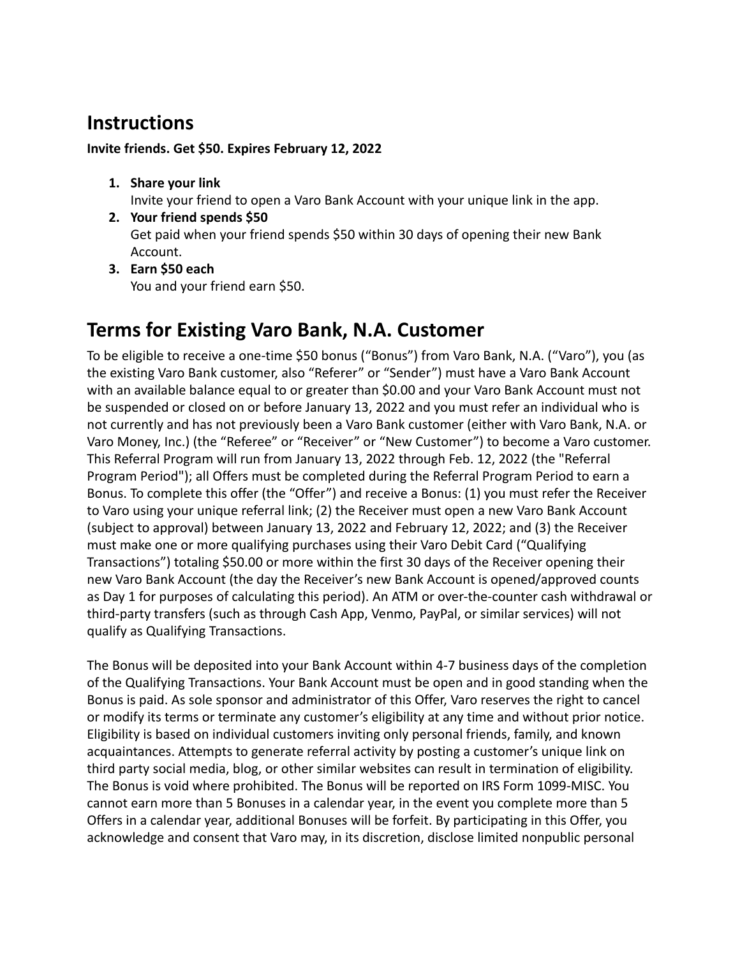## **Instructions**

## **Invite friends. Get \$50. Expires February 12, 2022**

**1. Share your link**

Invite your friend to open a Varo Bank Account with your unique link in the app.

- **2. Your friend spends \$50** Get paid when your friend spends \$50 within 30 days of opening their new Bank Account.
- **3. Earn \$50 each** You and your friend earn \$50.

## **Terms for Existing Varo Bank, N.A. Customer**

To be eligible to receive a one-time \$50 bonus ("Bonus") from Varo Bank, N.A. ("Varo"), you (as the existing Varo Bank customer, also "Referer" or "Sender") must have a Varo Bank Account with an available balance equal to or greater than \$0.00 and your Varo Bank Account must not be suspended or closed on or before January 13, 2022 and you must refer an individual who is not currently and has not previously been a Varo Bank customer (either with Varo Bank, N.A. or Varo Money, Inc.) (the "Referee" or "Receiver" or "New Customer") to become a Varo customer. This Referral Program will run from January 13, 2022 through Feb. 12, 2022 (the "Referral Program Period"); all Offers must be completed during the Referral Program Period to earn a Bonus. To complete this offer (the "Offer") and receive a Bonus: (1) you must refer the Receiver to Varo using your unique referral link; (2) the Receiver must open a new Varo Bank Account (subject to approval) between January 13, 2022 and February 12, 2022; and (3) the Receiver must make one or more qualifying purchases using their Varo Debit Card ("Qualifying Transactions") totaling \$50.00 or more within the first 30 days of the Receiver opening their new Varo Bank Account (the day the Receiver's new Bank Account is opened/approved counts as Day 1 for purposes of calculating this period). An ATM or over-the-counter cash withdrawal or third-party transfers (such as through Cash App, Venmo, PayPal, or similar services) will not qualify as Qualifying Transactions.

The Bonus will be deposited into your Bank Account within 4-7 business days of the completion of the Qualifying Transactions. Your Bank Account must be open and in good standing when the Bonus is paid. As sole sponsor and administrator of this Offer, Varo reserves the right to cancel or modify its terms or terminate any customer's eligibility at any time and without prior notice. Eligibility is based on individual customers inviting only personal friends, family, and known acquaintances. Attempts to generate referral activity by posting a customer's unique link on third party social media, blog, or other similar websites can result in termination of eligibility. The Bonus is void where prohibited. The Bonus will be reported on IRS Form 1099-MISC. You cannot earn more than 5 Bonuses in a calendar year, in the event you complete more than 5 Offers in a calendar year, additional Bonuses will be forfeit. By participating in this Offer, you acknowledge and consent that Varo may, in its discretion, disclose limited nonpublic personal